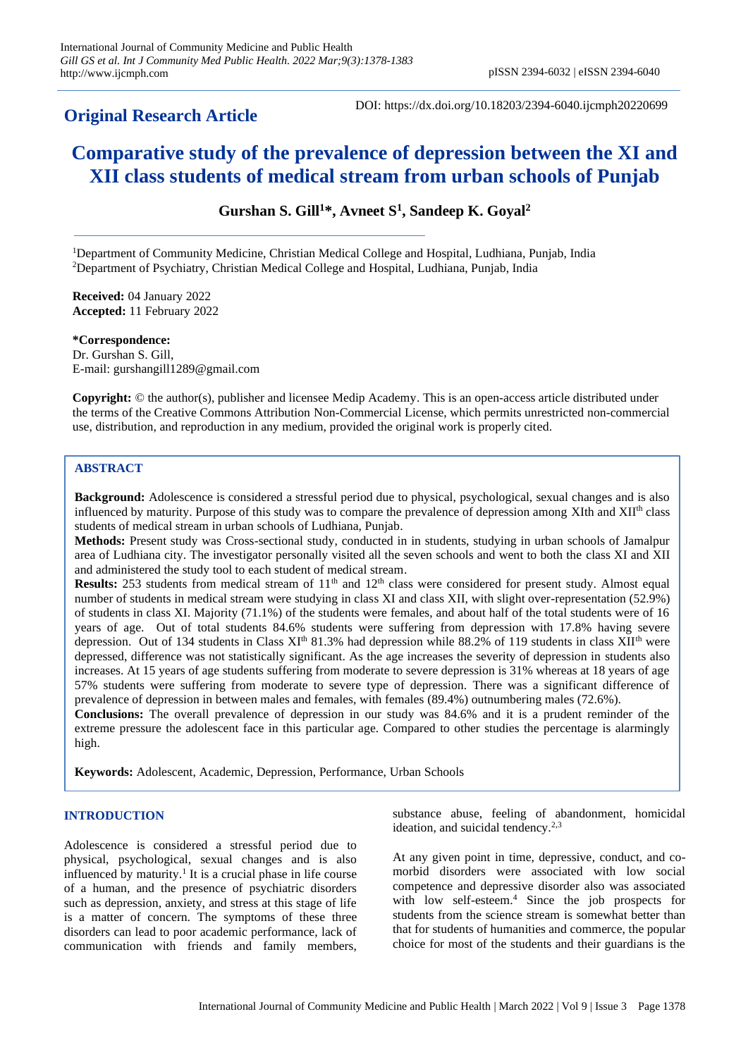## **Original Research Article**

DOI: https://dx.doi.org/10.18203/2394-6040.ijcmph20220699

# **Comparative study of the prevalence of depression between the XI and XII class students of medical stream from urban schools of Punjab**

**Gurshan S. Gill<sup>1</sup>\*, Avneet S<sup>1</sup> , Sandeep K. Goyal<sup>2</sup>**

<sup>1</sup>Department of Community Medicine, Christian Medical College and Hospital, Ludhiana, Punjab, India <sup>2</sup>Department of Psychiatry, Christian Medical College and Hospital, Ludhiana, Punjab, India

**Received:** 04 January 2022 **Accepted:** 11 February 2022

**\*Correspondence:** Dr. Gurshan S. Gill, E-mail: gurshangill1289@gmail.com

**Copyright:** © the author(s), publisher and licensee Medip Academy. This is an open-access article distributed under the terms of the Creative Commons Attribution Non-Commercial License, which permits unrestricted non-commercial use, distribution, and reproduction in any medium, provided the original work is properly cited.

## **ABSTRACT**

**Background:** Adolescence is considered a stressful period due to physical, psychological, sexual changes and is also influenced by maturity. Purpose of this study was to compare the prevalence of depression among XIth and XIIth class students of medical stream in urban schools of Ludhiana, Punjab.

**Methods:** Present study was Cross-sectional study, conducted in in students, studying in urban schools of Jamalpur area of Ludhiana city. The investigator personally visited all the seven schools and went to both the class XI and XII and administered the study tool to each student of medical stream.

**Results:** 253 students from medical stream of 11<sup>th</sup> and 12<sup>th</sup> class were considered for present study. Almost equal number of students in medical stream were studying in class XI and class XII, with slight over-representation (52.9%) of students in class XI. Majority (71.1%) of the students were females, and about half of the total students were of 16 years of age. Out of total students 84.6% students were suffering from depression with 17.8% having severe depression. Out of 134 students in Class  $XI<sup>th</sup> 81.3%$  had depression while 88.2% of 119 students in class  $XII<sup>th</sup>$  were depressed, difference was not statistically significant. As the age increases the severity of depression in students also increases. At 15 years of age students suffering from moderate to severe depression is 31% whereas at 18 years of age 57% students were suffering from moderate to severe type of depression. There was a significant difference of prevalence of depression in between males and females, with females (89.4%) outnumbering males (72.6%).

**Conclusions:** The overall prevalence of depression in our study was 84.6% and it is a prudent reminder of the extreme pressure the adolescent face in this particular age. Compared to other studies the percentage is alarmingly high.

**Keywords:** Adolescent, Academic, Depression, Performance, Urban Schools

## **INTRODUCTION**

Adolescence is considered a stressful period due to physical, psychological, sexual changes and is also influenced by maturity.<sup>1</sup> It is a crucial phase in life course of a human, and the presence of psychiatric disorders such as depression, anxiety, and stress at this stage of life is a matter of concern. The symptoms of these three disorders can lead to poor academic performance, lack of communication with friends and family members,

substance abuse, feeling of abandonment, homicidal ideation, and suicidal tendency.<sup>2,3</sup>

At any given point in time, depressive, conduct, and comorbid disorders were associated with low social competence and depressive disorder also was associated with low self-esteem.<sup>4</sup> Since the job prospects for students from the science stream is somewhat better than that for students of humanities and commerce, the popular choice for most of the students and their guardians is the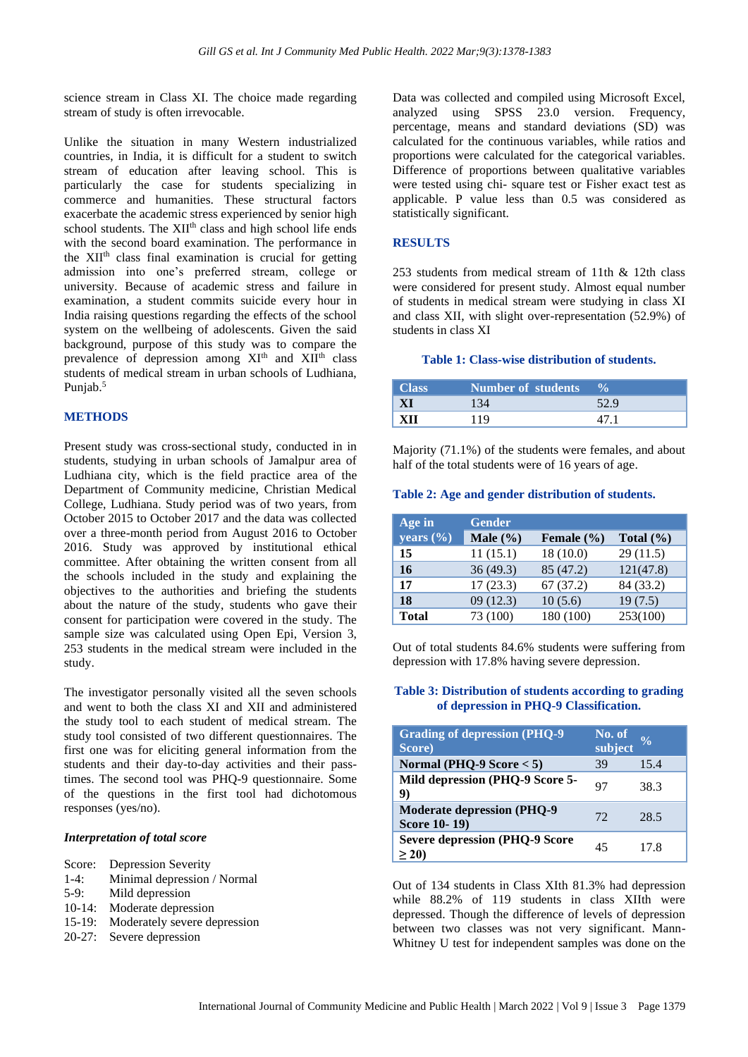science stream in Class XI. The choice made regarding stream of study is often irrevocable.

Unlike the situation in many Western industrialized countries, in India, it is difficult for a student to switch stream of education after leaving school. This is particularly the case for students specializing in commerce and humanities. These structural factors exacerbate the academic stress experienced by senior high school students. The XII<sup>th</sup> class and high school life ends with the second board examination. The performance in the XIIth class final examination is crucial for getting admission into one's preferred stream, college or university. Because of academic stress and failure in examination, a student commits suicide every hour in India raising questions regarding the effects of the school system on the wellbeing of adolescents. Given the said background, purpose of this study was to compare the prevalence of depression among  $XI<sup>th</sup>$  and  $XI<sup>th</sup>$  class students of medical stream in urban schools of Ludhiana, Punjab.<sup>5</sup>

#### **METHODS**

Present study was cross-sectional study, conducted in in students, studying in urban schools of Jamalpur area of Ludhiana city, which is the field practice area of the Department of Community medicine, Christian Medical College, Ludhiana. Study period was of two years, from October 2015 to October 2017 and the data was collected over a three-month period from August 2016 to October 2016. Study was approved by institutional ethical committee. After obtaining the written consent from all the schools included in the study and explaining the objectives to the authorities and briefing the students about the nature of the study, students who gave their consent for participation were covered in the study. The sample size was calculated using Open Epi, Version 3, 253 students in the medical stream were included in the study.

The investigator personally visited all the seven schools and went to both the class XI and XII and administered the study tool to each student of medical stream. The study tool consisted of two different questionnaires. The first one was for eliciting general information from the students and their day-to-day activities and their passtimes. The second tool was PHQ-9 questionnaire. Some of the questions in the first tool had dichotomous responses (yes/no).

#### *Interpretation of total score*

| Score:    | <b>Depression Severity</b>   |
|-----------|------------------------------|
| $1-4:$    | Minimal depression / Normal  |
| $5-9:$    | Mild depression              |
| $10-14$ : | Moderate depression          |
| $15-19:$  | Moderately severe depression |
| $20-27:$  | Severe depression            |

Data was collected and compiled using Microsoft Excel, analyzed using SPSS 23.0 version. Frequency, percentage, means and standard deviations (SD) was calculated for the continuous variables, while ratios and proportions were calculated for the categorical variables. Difference of proportions between qualitative variables were tested using chi- square test or Fisher exact test as applicable. P value less than 0.5 was considered as statistically significant.

#### **RESULTS**

253 students from medical stream of 11th & 12th class were considered for present study. Almost equal number of students in medical stream were studying in class XI and class XII, with slight over-representation (52.9%) of students in class XI

#### **Table 1: Class-wise distribution of students.**

| Class | <b>Number of students</b> |  |
|-------|---------------------------|--|
|       |                           |  |
| KП    | 10                        |  |

Majority (71.1%) of the students were females, and about half of the total students were of 16 years of age.

## **Table 2: Age and gender distribution of students.**

| Age in        | <b>Gender</b> |                |               |
|---------------|---------------|----------------|---------------|
| years $(\% )$ | Male $(\% )$  | Female $(\% )$ | Total $(\% )$ |
| 15            | 11(15.1)      | 18(10.0)       | 29(11.5)      |
| 16            | 36(49.3)      | 85 (47.2)      | 121(47.8)     |
| 17            | 17(23.3)      | 67(37.2)       | 84 (33.2)     |
| 18            | 09(12.3)      | 10(5.6)        | 19(7.5)       |
| <b>Total</b>  | 73 (100)      | 180 (100)      | 253(100)      |

Out of total students 84.6% students were suffering from depression with 17.8% having severe depression.

#### **Table 3: Distribution of students according to grading of depression in PHQ-9 Classification.**

| <b>Grading of depression (PHQ-9</b><br>Score)            | No. of<br>subject | $\frac{0}{0}$ |
|----------------------------------------------------------|-------------------|---------------|
| Normal (PHQ-9 Score $<$ 5)                               | 39                | 15.4          |
| Mild depression (PHQ-9 Score 5-<br>9)                    | 97                | 38.3          |
| <b>Moderate depression (PHQ-9</b><br><b>Score 10-19)</b> | 72                | 28.5          |
| <b>Severe depression (PHQ-9 Score</b><br>> 20            | 45                | 17 8          |

Out of 134 students in Class XIth 81.3% had depression while 88.2% of 119 students in class XIIth were depressed. Though the difference of levels of depression between two classes was not very significant. Mann-Whitney U test for independent samples was done on the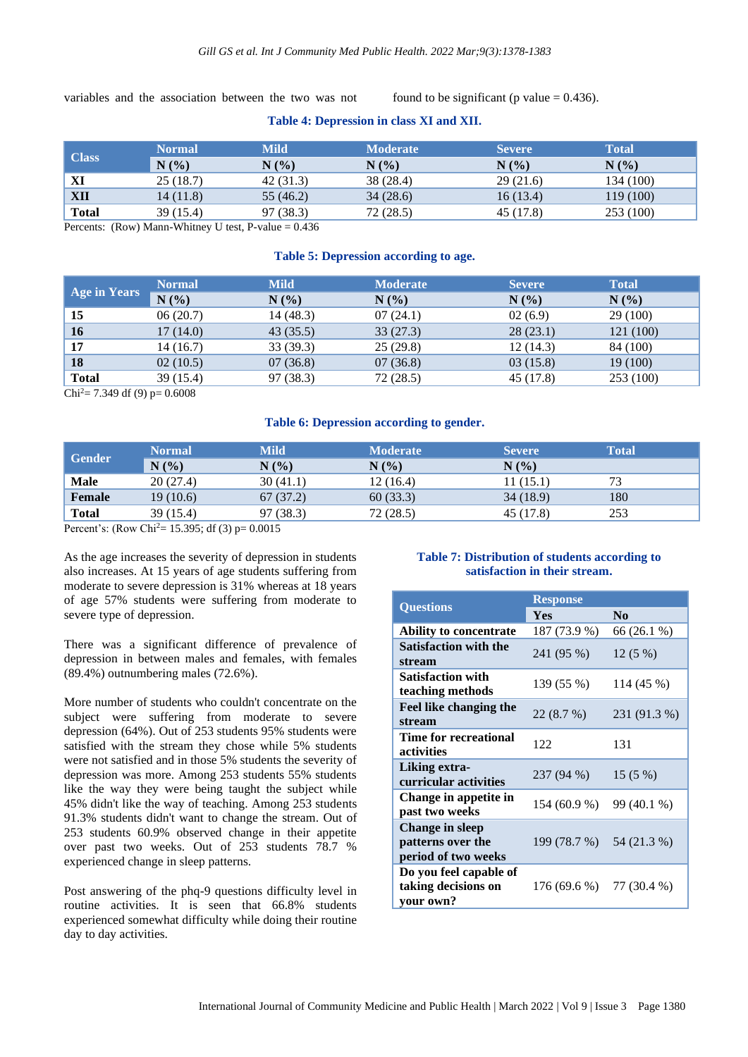variables and the association between the two was not found to be significant (p value  $= 0.436$ ).

## **Table 4: Depression in class XI and XII.**

|              | Normal    | <b>Mild</b> | <b>Moderate</b> | <b>Severe</b> | <b>Total</b> |
|--------------|-----------|-------------|-----------------|---------------|--------------|
| Class        | N(%       | N(%)        | N(%             | N(%           | $N(\%)$      |
| XI           | 25(18.7)  | 42(31.3)    | 38 (28.4)       | 29(21.6)      | 134 (100)    |
| <b>XII</b>   | 14 (11.8) | 55 (46.2)   | 34(28.6)        | 16(13.4)      | 119 (100)    |
| <b>Total</b> | 39 (15.4) | 97 (38.3)   | 72(28.5)        | 45 (17.8)     | 253 (100)    |

Percents: (Row) Mann-Whitney U test, P-value  $= 0.436$ 

#### **Table 5: Depression according to age.**

| <b>Age in Years</b> | <b>Normal</b> | <b>Mild</b> | <b>Moderate</b> | <b>Severe</b> | <b>Total</b> |
|---------------------|---------------|-------------|-----------------|---------------|--------------|
|                     | N(%)          | N(%)        | N(%             | N(%)          | N(%)         |
| 15                  | 06(20.7)      | 14(48.3)    | 07(24.1)        | 02(6.9)       | 29 (100)     |
| <b>16</b>           | 17(14.0)      | 43(35.5)    | 33(27.3)        | 28(23.1)      | 121 (100)    |
| 17                  | 14 (16.7)     | 33(39.3)    | 25(29.8)        | 12(14.3)      | 84 (100)     |
| 18                  | 02(10.5)      | 07(36.8)    | 07(36.8)        | 03(15.8)      | 19 (100)     |
| <b>Total</b>        | 39 (15.4)     | 97 (38.3)   | 72(28.5)        | 45 (17.8)     | 253 (100)    |

 $Chi^2 = 7.349$  df (9) p= 0.6008

#### **Table 6: Depression according to gender.**

|              | <b>Normal</b> | <b>Mild</b> | <b>Moderate</b> | <b>Severe</b> | <b>Total</b> |
|--------------|---------------|-------------|-----------------|---------------|--------------|
| Gender       | N(%)          | N(%         | $N(\%)$         | N(%           |              |
| <b>Male</b>  | 20(27.4)      | 30(41.1)    | 12(16.4)        | 11(15.1)      | 73           |
| Female       | 19(10.6)      | 67(37.2)    | 60(33.3)        | 34(18.9)      | 180          |
| <b>Total</b> | 39 (15.4)     | 97 (38.3)   | 72(28.5)        | 45 (17.8)     | 253          |

Percent's: (Row Chi<sup>2</sup>= 15.395; df (3)  $p= 0.0015$ 

As the age increases the severity of depression in students also increases. At 15 years of age students suffering from moderate to severe depression is 31% whereas at 18 years of age 57% students were suffering from moderate to severe type of depression.

There was a significant difference of prevalence of depression in between males and females, with females (89.4%) outnumbering males (72.6%).

More number of students who couldn't concentrate on the subject were suffering from moderate to severe depression (64%). Out of 253 students 95% students were satisfied with the stream they chose while 5% students were not satisfied and in those 5% students the severity of depression was more. Among 253 students 55% students like the way they were being taught the subject while 45% didn't like the way of teaching. Among 253 students 91.3% students didn't want to change the stream. Out of 253 students 60.9% observed change in their appetite over past two weeks. Out of 253 students 78.7 % experienced change in sleep patterns.

Post answering of the phq-9 questions difficulty level in routine activities. It is seen that 66.8% students experienced somewhat difficulty while doing their routine day to day activities.

## **Table 7: Distribution of students according to satisfaction in their stream.**

|                                                             | <b>Response</b>          |                |  |
|-------------------------------------------------------------|--------------------------|----------------|--|
| <b>Questions</b>                                            | <b>Yes</b>               | N <sub>0</sub> |  |
| <b>Ability to concentrate</b>                               | 187 (73.9 %)             | 66 (26.1 %)    |  |
| <b>Satisfaction with the</b><br>stream                      | 241 (95 %)               | $12(5\%)$      |  |
| <b>Satisfaction with</b><br>teaching methods                | 139 (55 %)               | 114 (45 %)     |  |
| Feel like changing the<br>stream                            | 22(8.7%)                 | 231 (91.3 %)   |  |
| Time for recreational<br>activities                         | 122                      | 131            |  |
| Liking extra-<br>curricular activities                      | 237 (94 %)               | 15(5%)         |  |
| Change in appetite in<br>past two weeks                     | 154 (60.9 %)             | 99 (40.1 %)    |  |
| Change in sleep<br>patterns over the<br>period of two weeks | 199 (78.7 %) 54 (21.3 %) |                |  |
| Do you feel capable of<br>taking decisions on<br>your own?  | 176 (69.6 %) 77 (30.4 %) |                |  |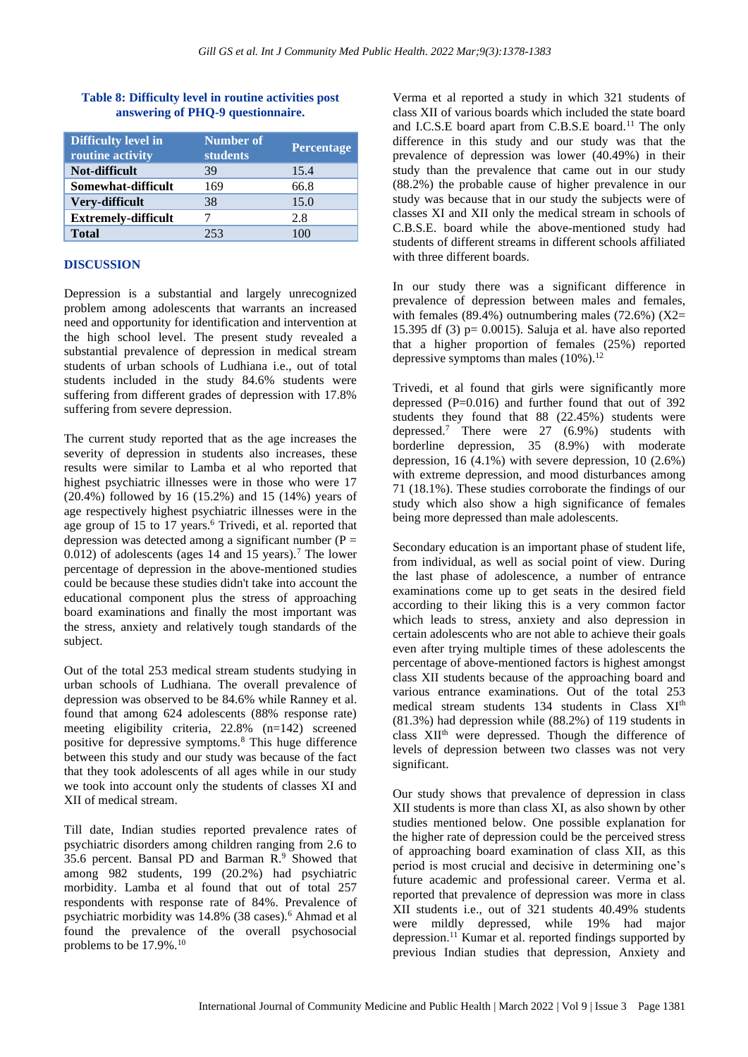| <b>Difficulty level in</b><br>routine activity | Number of<br><b>students</b> | <b>Percentage</b> |
|------------------------------------------------|------------------------------|-------------------|
| Not-difficult                                  | 39                           | 15.4              |
| Somewhat-difficult                             | 169                          | 66.8              |
| Very-difficult                                 | 38                           | 15.0              |
| <b>Extremely-difficult</b>                     |                              | 2.8               |
| <b>Total</b>                                   | 253                          | 100               |

## **Table 8: Difficulty level in routine activities post answering of PHQ-9 questionnaire.**

## **DISCUSSION**

Depression is a substantial and largely unrecognized problem among adolescents that warrants an increased need and opportunity for identification and intervention at the high school level. The present study revealed a substantial prevalence of depression in medical stream students of urban schools of Ludhiana i.e., out of total students included in the study 84.6% students were suffering from different grades of depression with 17.8% suffering from severe depression.

The current study reported that as the age increases the severity of depression in students also increases, these results were similar to Lamba et al who reported that highest psychiatric illnesses were in those who were 17 (20.4%) followed by 16 (15.2%) and 15 (14%) years of age respectively highest psychiatric illnesses were in the age group of 15 to 17 years.<sup>6</sup> Trivedi, et al. reported that depression was detected among a significant number ( $P =$ 0.012) of adolescents (ages 14 and 15 years).<sup>7</sup> The lower percentage of depression in the above-mentioned studies could be because these studies didn't take into account the educational component plus the stress of approaching board examinations and finally the most important was the stress, anxiety and relatively tough standards of the subject.

Out of the total 253 medical stream students studying in urban schools of Ludhiana. The overall prevalence of depression was observed to be 84.6% while Ranney et al. found that among 624 adolescents (88% response rate) meeting eligibility criteria, 22.8% (n=142) screened positive for depressive symptoms.<sup>8</sup> This huge difference between this study and our study was because of the fact that they took adolescents of all ages while in our study we took into account only the students of classes XI and XII of medical stream.

Till date, Indian studies reported prevalence rates of psychiatric disorders among children ranging from 2.6 to 35.6 percent. Bansal PD and Barman R.<sup>9</sup> Showed that among 982 students, 199 (20.2%) had psychiatric morbidity. Lamba et al found that out of total 257 respondents with response rate of 84%. Prevalence of psychiatric morbidity was 14.8% (38 cases).<sup>6</sup> Ahmad et al found the prevalence of the overall psychosocial problems to be 17.9%.<sup>10</sup>

Verma et al reported a study in which 321 students of class XII of various boards which included the state board and I.C.S.E board apart from C.B.S.E board.<sup>11</sup> The only difference in this study and our study was that the prevalence of depression was lower (40.49%) in their study than the prevalence that came out in our study (88.2%) the probable cause of higher prevalence in our study was because that in our study the subjects were of classes XI and XII only the medical stream in schools of C.B.S.E. board while the above-mentioned study had students of different streams in different schools affiliated with three different boards.

In our study there was a significant difference in prevalence of depression between males and females, with females (89.4%) outnumbering males (72.6%) (X2= 15.395 df (3) p= 0.0015). Saluja et al. have also reported that a higher proportion of females (25%) reported depressive symptoms than males  $(10\%)$ .<sup>12</sup>

Trivedi, et al found that girls were significantly more depressed  $(P=0.016)$  and further found that out of 392 students they found that 88 (22.45%) students were depressed.<sup>7</sup> There were 27 (6.9%) students with borderline depression, 35 (8.9%) with moderate depression, 16  $(4.1\%)$  with severe depression, 10  $(2.6\%)$ with extreme depression, and mood disturbances among 71 (18.1%). These studies corroborate the findings of our study which also show a high significance of females being more depressed than male adolescents.

Secondary education is an important phase of student life, from individual, as well as social point of view. During the last phase of adolescence, a number of entrance examinations come up to get seats in the desired field according to their liking this is a very common factor which leads to stress, anxiety and also depression in certain adolescents who are not able to achieve their goals even after trying multiple times of these adolescents the percentage of above-mentioned factors is highest amongst class XII students because of the approaching board and various entrance examinations. Out of the total 253 medical stream students 134 students in Class XI<sup>th</sup> (81.3%) had depression while (88.2%) of 119 students in class XIIth were depressed. Though the difference of levels of depression between two classes was not very significant.

Our study shows that prevalence of depression in class XII students is more than class XI, as also shown by other studies mentioned below. One possible explanation for the higher rate of depression could be the perceived stress of approaching board examination of class XII, as this period is most crucial and decisive in determining one's future academic and professional career. Verma et al. reported that prevalence of depression was more in class XII students i.e., out of 321 students 40.49% students were mildly depressed, while 19% had major depression.<sup>11</sup> Kumar et al. reported findings supported by previous Indian studies that depression, Anxiety and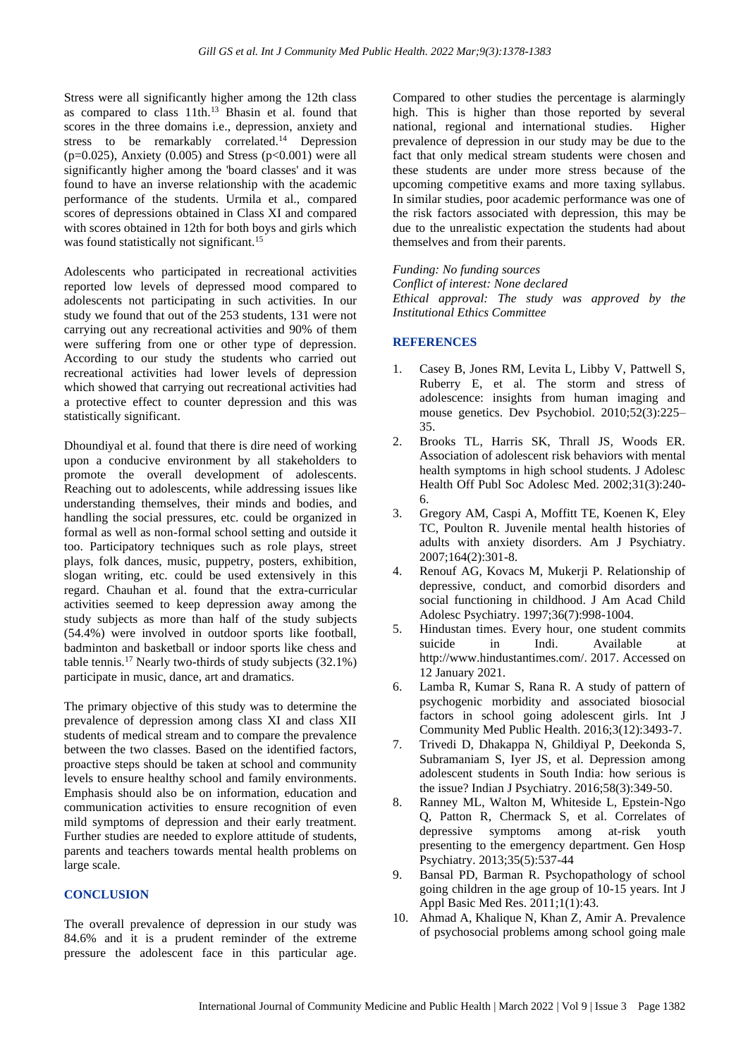Stress were all significantly higher among the 12th class as compared to class 11th.<sup>13</sup> Bhasin et al. found that scores in the three domains i.e., depression, anxiety and stress to be remarkably correlated.<sup>14</sup> Depression ( $p=0.025$ ), Anxiety (0.005) and Stress ( $p<0.001$ ) were all significantly higher among the 'board classes' and it was found to have an inverse relationship with the academic performance of the students. Urmila et al., compared scores of depressions obtained in Class XI and compared with scores obtained in 12th for both boys and girls which was found statistically not significant.<sup>15</sup>

Adolescents who participated in recreational activities reported low levels of depressed mood compared to adolescents not participating in such activities. In our study we found that out of the 253 students, 131 were not carrying out any recreational activities and 90% of them were suffering from one or other type of depression. According to our study the students who carried out recreational activities had lower levels of depression which showed that carrying out recreational activities had a protective effect to counter depression and this was statistically significant.

Dhoundiyal et al. found that there is dire need of working upon a conducive environment by all stakeholders to promote the overall development of adolescents. Reaching out to adolescents, while addressing issues like understanding themselves, their minds and bodies, and handling the social pressures, etc. could be organized in formal as well as non-formal school setting and outside it too. Participatory techniques such as role plays, street plays, folk dances, music, puppetry, posters, exhibition, slogan writing, etc. could be used extensively in this regard. Chauhan et al. found that the extra-curricular activities seemed to keep depression away among the study subjects as more than half of the study subjects (54.4%) were involved in outdoor sports like football, badminton and basketball or indoor sports like chess and table tennis.<sup>17</sup> Nearly two-thirds of study subjects (32.1%) participate in music, dance, art and dramatics.

The primary objective of this study was to determine the prevalence of depression among class XI and class XII students of medical stream and to compare the prevalence between the two classes. Based on the identified factors, proactive steps should be taken at school and community levels to ensure healthy school and family environments. Emphasis should also be on information, education and communication activities to ensure recognition of even mild symptoms of depression and their early treatment. Further studies are needed to explore attitude of students, parents and teachers towards mental health problems on large scale.

#### **CONCLUSION**

The overall prevalence of depression in our study was 84.6% and it is a prudent reminder of the extreme pressure the adolescent face in this particular age. Compared to other studies the percentage is alarmingly high. This is higher than those reported by several national, regional and international studies. Higher prevalence of depression in our study may be due to the fact that only medical stream students were chosen and these students are under more stress because of the upcoming competitive exams and more taxing syllabus. In similar studies, poor academic performance was one of the risk factors associated with depression, this may be due to the unrealistic expectation the students had about themselves and from their parents.

*Funding: No funding sources*

*Conflict of interest: None declared Ethical approval: The study was approved by the Institutional Ethics Committee*

## **REFERENCES**

- 1. Casey B, Jones RM, Levita L, Libby V, Pattwell S, Ruberry E, et al. The storm and stress of adolescence: insights from human imaging and mouse genetics. Dev Psychobiol. 2010;52(3):225– 35.
- 2. Brooks TL, Harris SK, Thrall JS, Woods ER. Association of adolescent risk behaviors with mental health symptoms in high school students. J Adolesc Health Off Publ Soc Adolesc Med. 2002;31(3):240- 6.
- 3. Gregory AM, Caspi A, Moffitt TE, Koenen K, Eley TC, Poulton R. Juvenile mental health histories of adults with anxiety disorders. Am J Psychiatry. 2007;164(2):301-8.
- 4. Renouf AG, Kovacs M, Mukerji P. Relationship of depressive, conduct, and comorbid disorders and social functioning in childhood. J Am Acad Child Adolesc Psychiatry. 1997;36(7):998-1004.
- 5. Hindustan times. Every hour, one student commits suicide in Indi. Available at http://www.hindustantimes.com/. 2017. Accessed on 12 January 2021.
- 6. Lamba R, Kumar S, Rana R. A study of pattern of psychogenic morbidity and associated biosocial factors in school going adolescent girls. Int J Community Med Public Health. 2016;3(12):3493-7.
- 7. Trivedi D, Dhakappa N, Ghildiyal P, Deekonda S, Subramaniam S, Iyer JS, et al. Depression among adolescent students in South India: how serious is the issue? Indian J Psychiatry. 2016;58(3):349-50.
- 8. Ranney ML, Walton M, Whiteside L, Epstein-Ngo Q, Patton R, Chermack S, et al. Correlates of depressive symptoms among at-risk youth presenting to the emergency department. Gen Hosp Psychiatry. 2013;35(5):537-44
- 9. Bansal PD, Barman R. Psychopathology of school going children in the age group of 10-15 years. Int J Appl Basic Med Res. 2011;1(1):43.
- 10. Ahmad A, Khalique N, Khan Z, Amir A. Prevalence of psychosocial problems among school going male